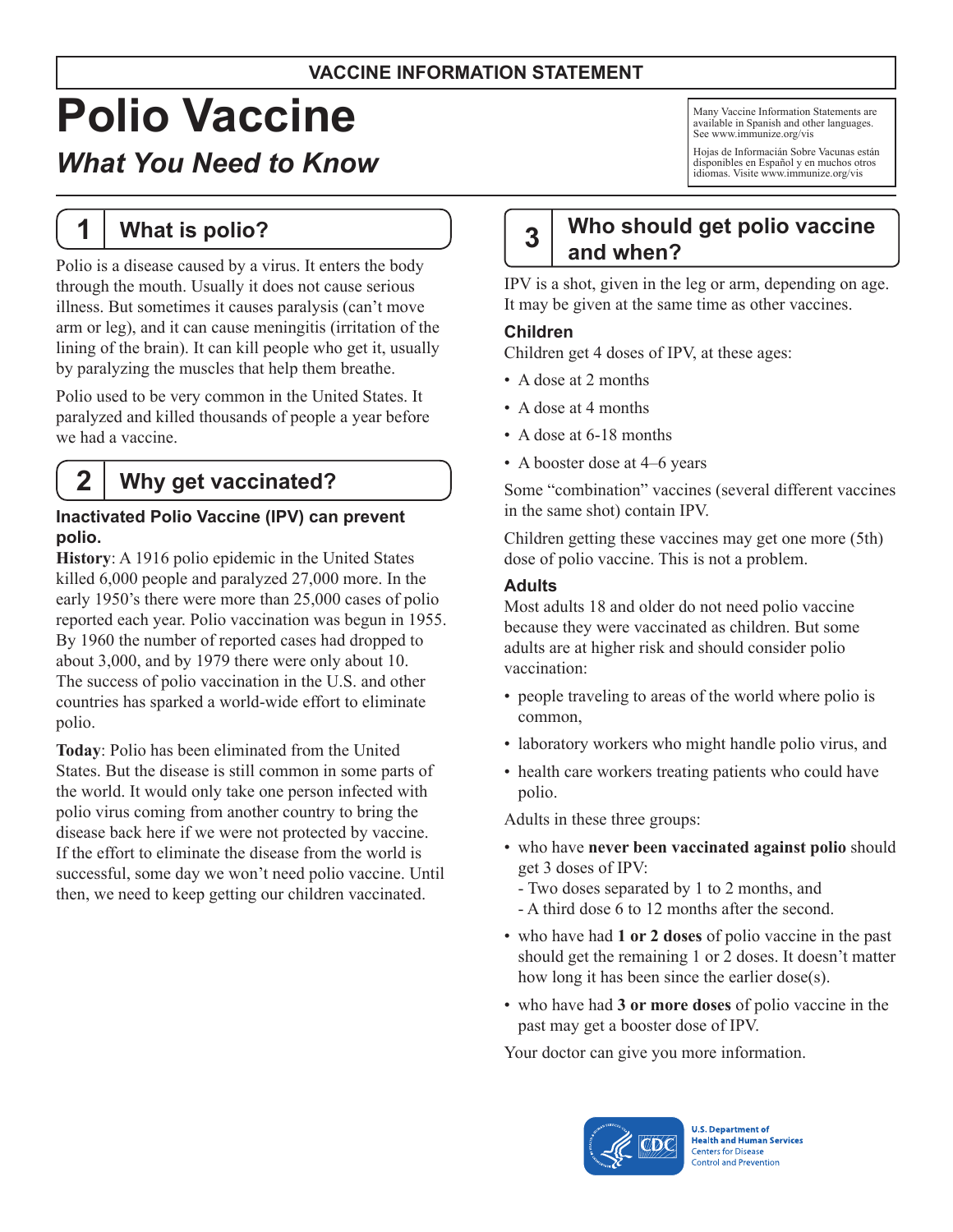### **VACCINE INFORMATION STATEMENT**

# **Polio Vaccine**

# *What You Need to Know*

**1 What is polio?**

Polio is a disease caused by a virus. It enters the body through the mouth. Usually it does not cause serious illness. But sometimes it causes paralysis (can't move arm or leg), and it can cause meningitis (irritation of the lining of the brain). It can kill people who get it, usually by paralyzing the muscles that help them breathe.

Polio used to be very common in the United States. It paralyzed and killed thousands of people a year before we had a vaccine.

# **2 Why get vaccinated?**

#### **Inactivated Polio Vaccine (IPV) can prevent polio.**

**History**: A 1916 polio epidemic in the United States killed 6,000 people and paralyzed 27,000 more. In the early 1950's there were more than 25,000 cases of polio reported each year. Polio vaccination was begun in 1955. By 1960 the number of reported cases had dropped to about 3,000, and by 1979 there were only about 10. The success of polio vaccination in the U.S. and other countries has sparked a world-wide effort to eliminate polio.

**Today**: Polio has been eliminated from the United States. But the disease is still common in some parts of the world. It would only take one person infected with polio virus coming from another country to bring the disease back here if we were not protected by vaccine. If the effort to eliminate the disease from the world is successful, some day we won't need polio vaccine. Until then, we need to keep getting our children vaccinated.

Many Vaccine Information Statements are available in Spanish and other languages. See [www.immunize.org/vis](http://www.immunize.org/vis)

Hojas de Informacián Sobre Vacunas están disponibles en Español y en muchos otros idiomas. Visite [www.immunize.org/vis](http://www.immunize.org/vis)

# **3 Who should get polio vaccine and when?**

IPV is a shot, given in the leg or arm, depending on age. It may be given at the same time as other vaccines.

#### **Children**

Children get 4 doses of IPV, at these ages:

- A dose at 2 months
- A dose at 4 months
- A dose at 6-18 months
- A booster dose at 4–6 years

Some "combination" vaccines (several different vaccines in the same shot) contain IPV.

Children getting these vaccines may get one more (5th) dose of polio vaccine. This is not a problem.

#### **Adults**

Most adults 18 and older do not need polio vaccine because they were vaccinated as children. But some adults are at higher risk and should consider polio vaccination:

- people traveling to areas of the world where polio is common,
- laboratory workers who might handle polio virus, and
- health care workers treating patients who could have polio.

Adults in these three groups:

- • who have **never been vaccinated against polio** should get 3 doses of IPV:
	- Two doses separated by 1 to 2 months, and
	- A third dose 6 to 12 months after the second.
- • who have had **1 or 2 doses** of polio vaccine in the past should get the remaining 1 or 2 doses. It doesn't matter how long it has been since the earlier dose(s).
- • who have had **3 or more doses** of polio vaccine in the past may get a booster dose of IPV.

Your doctor can give you more information.